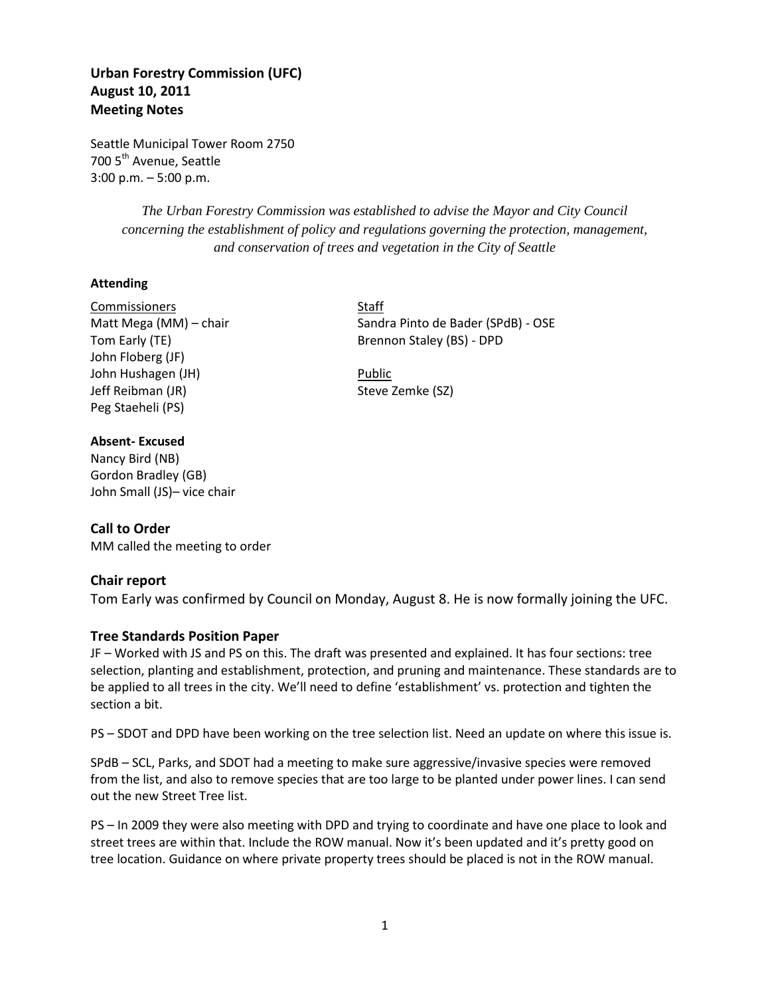# **Urban Forestry Commission (UFC) August 10, 2011 Meeting Notes**

Seattle Municipal Tower Room 2750 700 5<sup>th</sup> Avenue, Seattle 3:00 p.m. – 5:00 p.m.

> *The Urban Forestry Commission was established to advise the Mayor and City Council concerning the establishment of policy and regulations governing the protection, management, and conservation of trees and vegetation in the City of Seattle*

### **Attending**

Commissioners Staff John Floberg (JF) John Hushagen (JH) Public Jeff Reibman (JR) Steve Zemke (SZ) Peg Staeheli (PS)

### **Absent- Excused**

Nancy Bird (NB) Gordon Bradley (GB) John Small (JS)– vice chair

## **Call to Order**

MM called the meeting to order

### **Chair report**

Tom Early was confirmed by Council on Monday, August 8. He is now formally joining the UFC.

### **Tree Standards Position Paper**

JF – Worked with JS and PS on this. The draft was presented and explained. It has four sections: tree selection, planting and establishment, protection, and pruning and maintenance. These standards are to be applied to all trees in the city. We'll need to define 'establishment' vs. protection and tighten the section a bit.

PS – SDOT and DPD have been working on the tree selection list. Need an update on where this issue is.

SPdB – SCL, Parks, and SDOT had a meeting to make sure aggressive/invasive species were removed from the list, and also to remove species that are too large to be planted under power lines. I can send out the new Street Tree list.

PS – In 2009 they were also meeting with DPD and trying to coordinate and have one place to look and street trees are within that. Include the ROW manual. Now it's been updated and it's pretty good on tree location. Guidance on where private property trees should be placed is not in the ROW manual.

Matt Mega (MM) – chair Sandra Pinto de Bader (SPdB) - OSE Tom Early (TE) **Brennon Staley (BS)** - DPD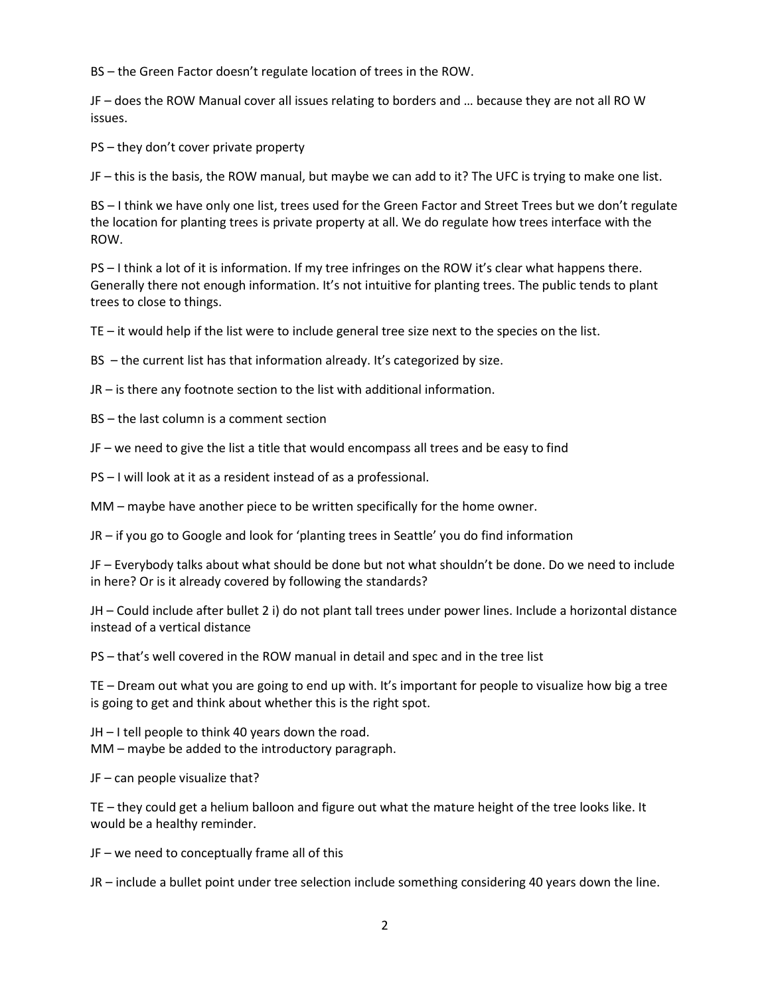BS – the Green Factor doesn't regulate location of trees in the ROW.

JF – does the ROW Manual cover all issues relating to borders and … because they are not all RO W issues.

PS – they don't cover private property

JF – this is the basis, the ROW manual, but maybe we can add to it? The UFC is trying to make one list.

BS – I think we have only one list, trees used for the Green Factor and Street Trees but we don't regulate the location for planting trees is private property at all. We do regulate how trees interface with the ROW.

PS – I think a lot of it is information. If my tree infringes on the ROW it's clear what happens there. Generally there not enough information. It's not intuitive for planting trees. The public tends to plant trees to close to things.

TE – it would help if the list were to include general tree size next to the species on the list.

BS – the current list has that information already. It's categorized by size.

JR – is there any footnote section to the list with additional information.

BS – the last column is a comment section

JF – we need to give the list a title that would encompass all trees and be easy to find

PS – I will look at it as a resident instead of as a professional.

MM – maybe have another piece to be written specifically for the home owner.

JR – if you go to Google and look for 'planting trees in Seattle' you do find information

JF – Everybody talks about what should be done but not what shouldn't be done. Do we need to include in here? Or is it already covered by following the standards?

JH – Could include after bullet 2 i) do not plant tall trees under power lines. Include a horizontal distance instead of a vertical distance

PS – that's well covered in the ROW manual in detail and spec and in the tree list

TE – Dream out what you are going to end up with. It's important for people to visualize how big a tree is going to get and think about whether this is the right spot.

JH – I tell people to think 40 years down the road. MM – maybe be added to the introductory paragraph.

JF – can people visualize that?

TE – they could get a helium balloon and figure out what the mature height of the tree looks like. It would be a healthy reminder.

JF – we need to conceptually frame all of this

JR – include a bullet point under tree selection include something considering 40 years down the line.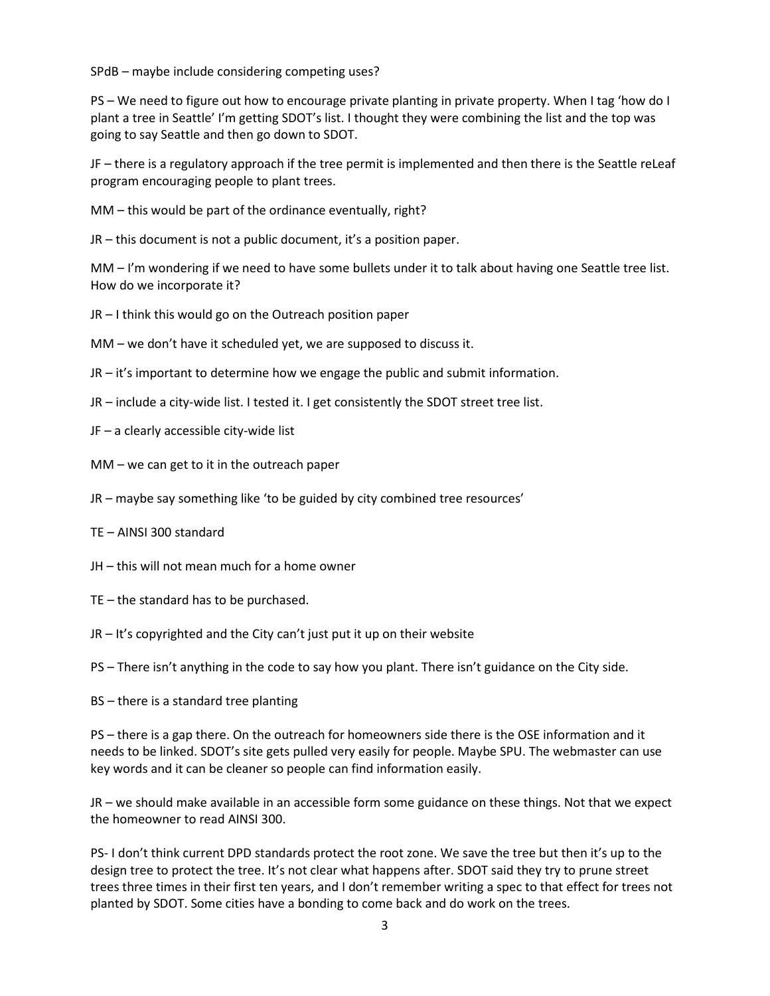SPdB – maybe include considering competing uses?

PS – We need to figure out how to encourage private planting in private property. When I tag 'how do I plant a tree in Seattle' I'm getting SDOT's list. I thought they were combining the list and the top was going to say Seattle and then go down to SDOT.

JF – there is a regulatory approach if the tree permit is implemented and then there is the Seattle reLeaf program encouraging people to plant trees.

MM – this would be part of the ordinance eventually, right?

JR – this document is not a public document, it's a position paper.

MM – I'm wondering if we need to have some bullets under it to talk about having one Seattle tree list. How do we incorporate it?

JR – I think this would go on the Outreach position paper

MM – we don't have it scheduled yet, we are supposed to discuss it.

JR – it's important to determine how we engage the public and submit information.

- JR include a city-wide list. I tested it. I get consistently the SDOT street tree list.
- JF a clearly accessible city-wide list
- MM we can get to it in the outreach paper
- JR maybe say something like 'to be guided by city combined tree resources'
- TE AINSI 300 standard
- JH this will not mean much for a home owner
- TE the standard has to be purchased.
- JR It's copyrighted and the City can't just put it up on their website

PS – There isn't anything in the code to say how you plant. There isn't guidance on the City side.

BS – there is a standard tree planting

PS – there is a gap there. On the outreach for homeowners side there is the OSE information and it needs to be linked. SDOT's site gets pulled very easily for people. Maybe SPU. The webmaster can use key words and it can be cleaner so people can find information easily.

JR – we should make available in an accessible form some guidance on these things. Not that we expect the homeowner to read AINSI 300.

PS- I don't think current DPD standards protect the root zone. We save the tree but then it's up to the design tree to protect the tree. It's not clear what happens after. SDOT said they try to prune street trees three times in their first ten years, and I don't remember writing a spec to that effect for trees not planted by SDOT. Some cities have a bonding to come back and do work on the trees.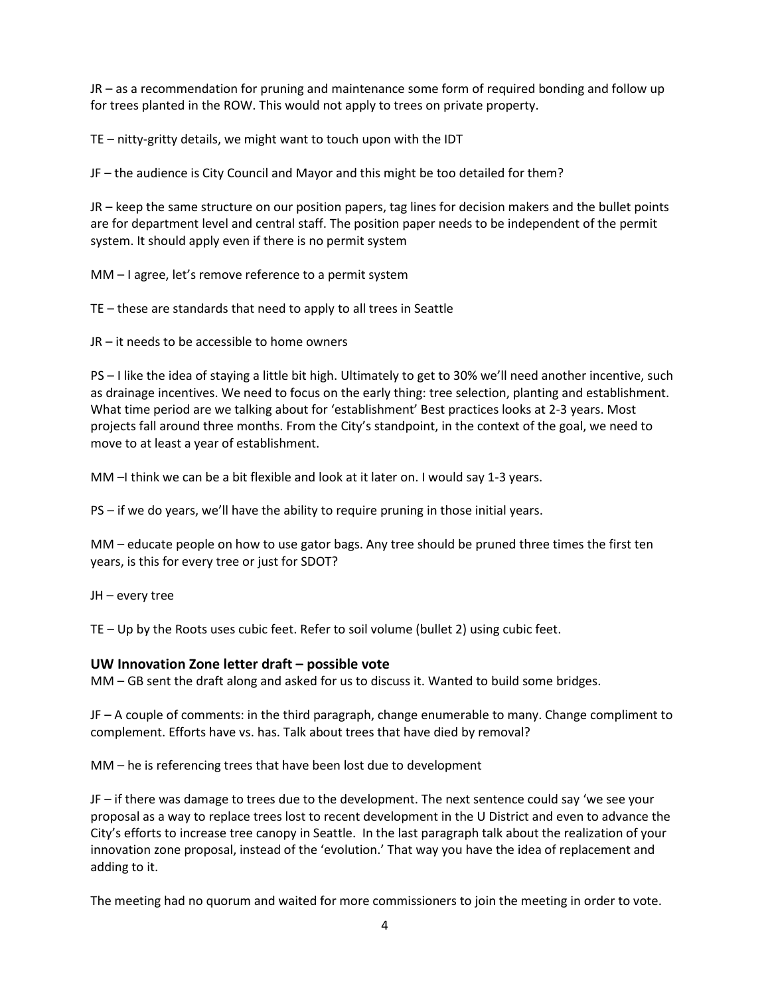JR – as a recommendation for pruning and maintenance some form of required bonding and follow up for trees planted in the ROW. This would not apply to trees on private property.

TE – nitty-gritty details, we might want to touch upon with the IDT

JF – the audience is City Council and Mayor and this might be too detailed for them?

JR – keep the same structure on our position papers, tag lines for decision makers and the bullet points are for department level and central staff. The position paper needs to be independent of the permit system. It should apply even if there is no permit system

MM – I agree, let's remove reference to a permit system

TE – these are standards that need to apply to all trees in Seattle

JR – it needs to be accessible to home owners

PS – I like the idea of staying a little bit high. Ultimately to get to 30% we'll need another incentive, such as drainage incentives. We need to focus on the early thing: tree selection, planting and establishment. What time period are we talking about for 'establishment' Best practices looks at 2-3 years. Most projects fall around three months. From the City's standpoint, in the context of the goal, we need to move to at least a year of establishment.

MM –I think we can be a bit flexible and look at it later on. I would say 1-3 years.

PS – if we do years, we'll have the ability to require pruning in those initial years.

MM – educate people on how to use gator bags. Any tree should be pruned three times the first ten years, is this for every tree or just for SDOT?

JH – every tree

TE – Up by the Roots uses cubic feet. Refer to soil volume (bullet 2) using cubic feet.

### **UW Innovation Zone letter draft – possible vote**

MM – GB sent the draft along and asked for us to discuss it. Wanted to build some bridges.

JF – A couple of comments: in the third paragraph, change enumerable to many. Change compliment to complement. Efforts have vs. has. Talk about trees that have died by removal?

MM – he is referencing trees that have been lost due to development

JF – if there was damage to trees due to the development. The next sentence could say 'we see your proposal as a way to replace trees lost to recent development in the U District and even to advance the City's efforts to increase tree canopy in Seattle. In the last paragraph talk about the realization of your innovation zone proposal, instead of the 'evolution.' That way you have the idea of replacement and adding to it.

The meeting had no quorum and waited for more commissioners to join the meeting in order to vote.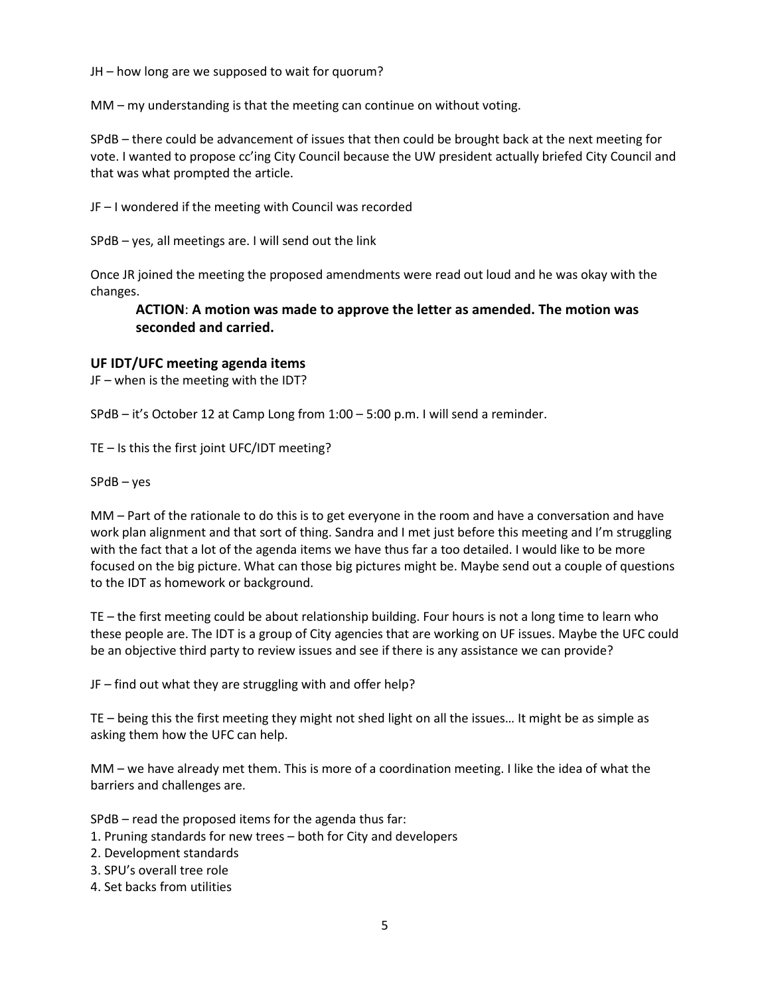JH – how long are we supposed to wait for quorum?

MM – my understanding is that the meeting can continue on without voting.

SPdB – there could be advancement of issues that then could be brought back at the next meeting for vote. I wanted to propose cc'ing City Council because the UW president actually briefed City Council and that was what prompted the article.

JF – I wondered if the meeting with Council was recorded

SPdB – yes, all meetings are. I will send out the link

Once JR joined the meeting the proposed amendments were read out loud and he was okay with the changes.

### **ACTION**: **A motion was made to approve the letter as amended. The motion was seconded and carried.**

### **UF IDT/UFC meeting agenda items**

JF – when is the meeting with the IDT?

SPdB – it's October 12 at Camp Long from 1:00 – 5:00 p.m. I will send a reminder.

TE – Is this the first joint UFC/IDT meeting?

SPdB – yes

MM – Part of the rationale to do this is to get everyone in the room and have a conversation and have work plan alignment and that sort of thing. Sandra and I met just before this meeting and I'm struggling with the fact that a lot of the agenda items we have thus far a too detailed. I would like to be more focused on the big picture. What can those big pictures might be. Maybe send out a couple of questions to the IDT as homework or background.

TE – the first meeting could be about relationship building. Four hours is not a long time to learn who these people are. The IDT is a group of City agencies that are working on UF issues. Maybe the UFC could be an objective third party to review issues and see if there is any assistance we can provide?

JF – find out what they are struggling with and offer help?

TE – being this the first meeting they might not shed light on all the issues… It might be as simple as asking them how the UFC can help.

MM – we have already met them. This is more of a coordination meeting. I like the idea of what the barriers and challenges are.

SPdB – read the proposed items for the agenda thus far:

- 1. Pruning standards for new trees both for City and developers
- 2. Development standards
- 3. SPU's overall tree role
- 4. Set backs from utilities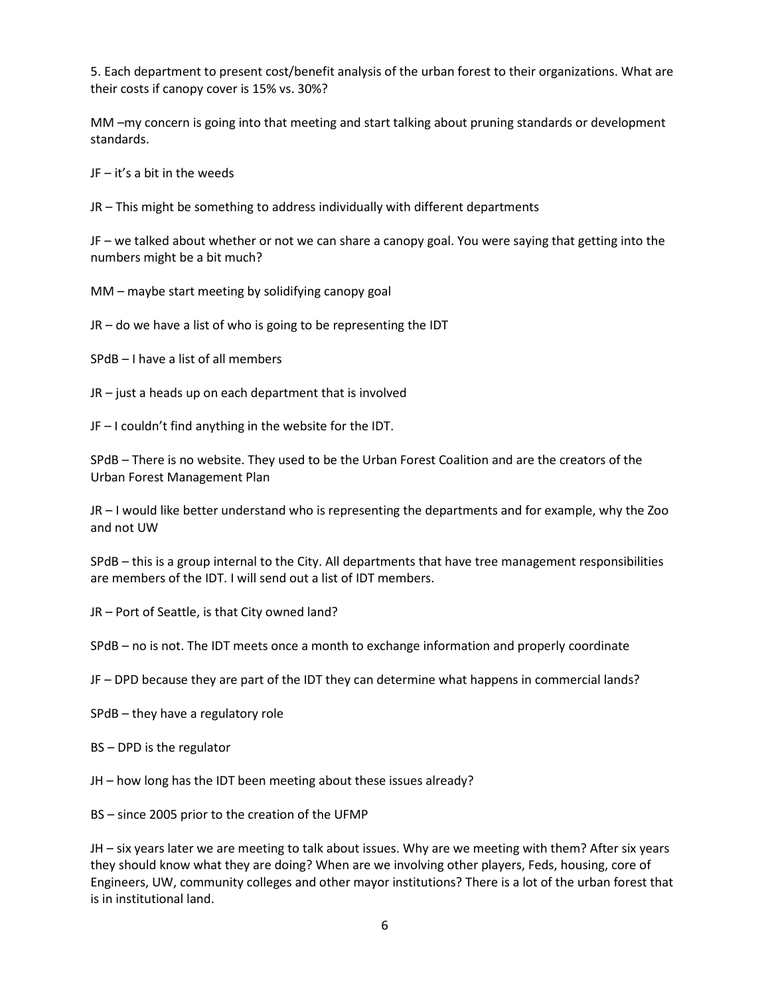5. Each department to present cost/benefit analysis of the urban forest to their organizations. What are their costs if canopy cover is 15% vs. 30%?

MM –my concern is going into that meeting and start talking about pruning standards or development standards.

JF – it's a bit in the weeds

JR – This might be something to address individually with different departments

JF – we talked about whether or not we can share a canopy goal. You were saying that getting into the numbers might be a bit much?

MM – maybe start meeting by solidifying canopy goal

 $JR - do$  we have a list of who is going to be representing the IDT

SPdB – I have a list of all members

JR – just a heads up on each department that is involved

JF – I couldn't find anything in the website for the IDT.

SPdB – There is no website. They used to be the Urban Forest Coalition and are the creators of the Urban Forest Management Plan

JR – I would like better understand who is representing the departments and for example, why the Zoo and not UW

SPdB – this is a group internal to the City. All departments that have tree management responsibilities are members of the IDT. I will send out a list of IDT members.

JR – Port of Seattle, is that City owned land?

SPdB – no is not. The IDT meets once a month to exchange information and properly coordinate

JF – DPD because they are part of the IDT they can determine what happens in commercial lands?

SPdB – they have a regulatory role

BS – DPD is the regulator

JH – how long has the IDT been meeting about these issues already?

BS – since 2005 prior to the creation of the UFMP

JH – six years later we are meeting to talk about issues. Why are we meeting with them? After six years they should know what they are doing? When are we involving other players, Feds, housing, core of Engineers, UW, community colleges and other mayor institutions? There is a lot of the urban forest that is in institutional land.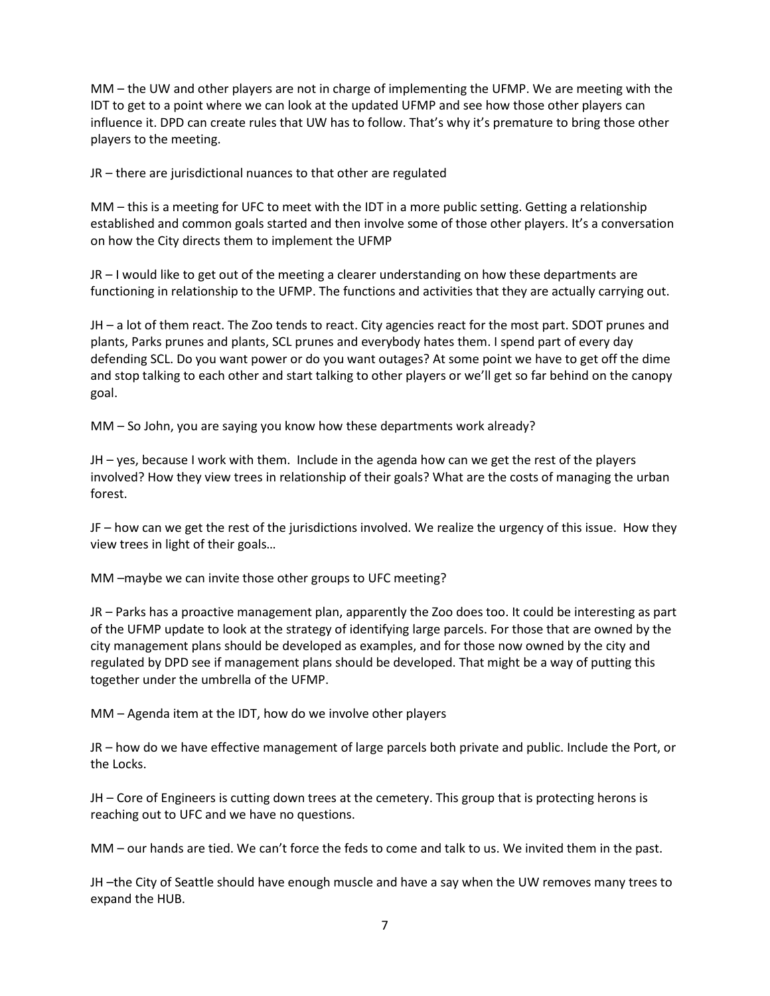MM – the UW and other players are not in charge of implementing the UFMP. We are meeting with the IDT to get to a point where we can look at the updated UFMP and see how those other players can influence it. DPD can create rules that UW has to follow. That's why it's premature to bring those other players to the meeting.

JR – there are jurisdictional nuances to that other are regulated

MM – this is a meeting for UFC to meet with the IDT in a more public setting. Getting a relationship established and common goals started and then involve some of those other players. It's a conversation on how the City directs them to implement the UFMP

JR – I would like to get out of the meeting a clearer understanding on how these departments are functioning in relationship to the UFMP. The functions and activities that they are actually carrying out.

JH – a lot of them react. The Zoo tends to react. City agencies react for the most part. SDOT prunes and plants, Parks prunes and plants, SCL prunes and everybody hates them. I spend part of every day defending SCL. Do you want power or do you want outages? At some point we have to get off the dime and stop talking to each other and start talking to other players or we'll get so far behind on the canopy goal.

MM – So John, you are saying you know how these departments work already?

JH – yes, because I work with them. Include in the agenda how can we get the rest of the players involved? How they view trees in relationship of their goals? What are the costs of managing the urban forest.

JF – how can we get the rest of the jurisdictions involved. We realize the urgency of this issue. How they view trees in light of their goals…

MM –maybe we can invite those other groups to UFC meeting?

JR – Parks has a proactive management plan, apparently the Zoo does too. It could be interesting as part of the UFMP update to look at the strategy of identifying large parcels. For those that are owned by the city management plans should be developed as examples, and for those now owned by the city and regulated by DPD see if management plans should be developed. That might be a way of putting this together under the umbrella of the UFMP.

MM – Agenda item at the IDT, how do we involve other players

JR – how do we have effective management of large parcels both private and public. Include the Port, or the Locks.

JH – Core of Engineers is cutting down trees at the cemetery. This group that is protecting herons is reaching out to UFC and we have no questions.

MM – our hands are tied. We can't force the feds to come and talk to us. We invited them in the past.

JH –the City of Seattle should have enough muscle and have a say when the UW removes many trees to expand the HUB.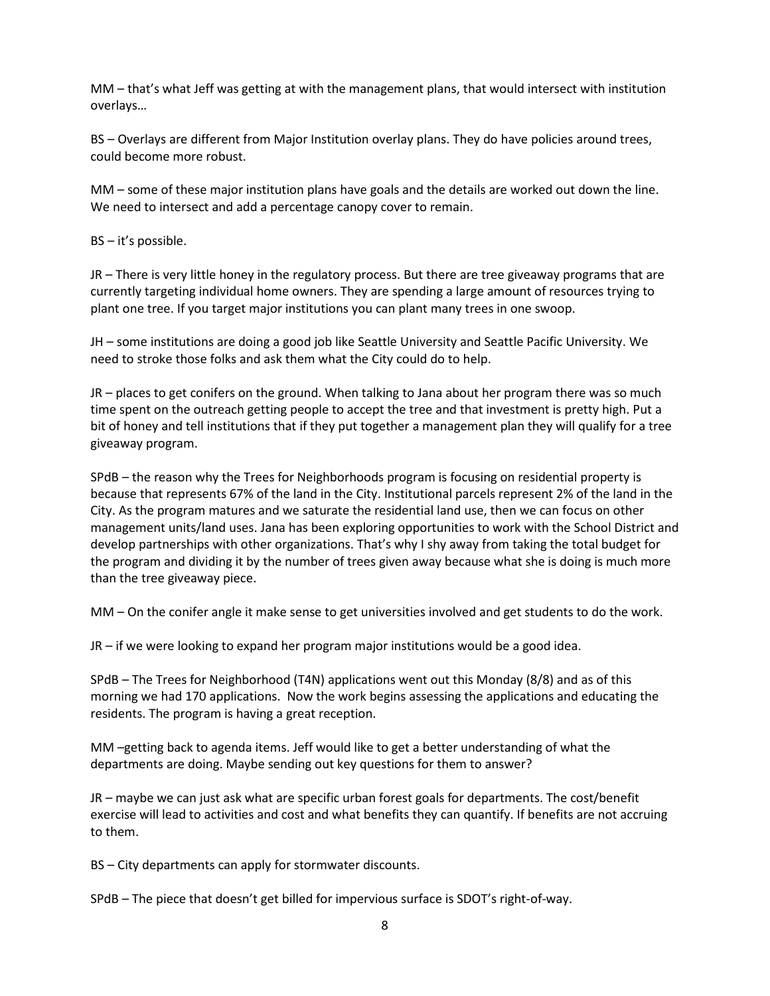MM – that's what Jeff was getting at with the management plans, that would intersect with institution overlays…

BS – Overlays are different from Major Institution overlay plans. They do have policies around trees, could become more robust.

MM – some of these major institution plans have goals and the details are worked out down the line. We need to intersect and add a percentage canopy cover to remain.

BS – it's possible.

JR – There is very little honey in the regulatory process. But there are tree giveaway programs that are currently targeting individual home owners. They are spending a large amount of resources trying to plant one tree. If you target major institutions you can plant many trees in one swoop.

JH – some institutions are doing a good job like Seattle University and Seattle Pacific University. We need to stroke those folks and ask them what the City could do to help.

JR – places to get conifers on the ground. When talking to Jana about her program there was so much time spent on the outreach getting people to accept the tree and that investment is pretty high. Put a bit of honey and tell institutions that if they put together a management plan they will qualify for a tree giveaway program.

SPdB – the reason why the Trees for Neighborhoods program is focusing on residential property is because that represents 67% of the land in the City. Institutional parcels represent 2% of the land in the City. As the program matures and we saturate the residential land use, then we can focus on other management units/land uses. Jana has been exploring opportunities to work with the School District and develop partnerships with other organizations. That's why I shy away from taking the total budget for the program and dividing it by the number of trees given away because what she is doing is much more than the tree giveaway piece.

MM – On the conifer angle it make sense to get universities involved and get students to do the work.

JR – if we were looking to expand her program major institutions would be a good idea.

SPdB – The Trees for Neighborhood (T4N) applications went out this Monday (8/8) and as of this morning we had 170 applications. Now the work begins assessing the applications and educating the residents. The program is having a great reception.

MM –getting back to agenda items. Jeff would like to get a better understanding of what the departments are doing. Maybe sending out key questions for them to answer?

JR – maybe we can just ask what are specific urban forest goals for departments. The cost/benefit exercise will lead to activities and cost and what benefits they can quantify. If benefits are not accruing to them.

BS – City departments can apply for stormwater discounts.

SPdB – The piece that doesn't get billed for impervious surface is SDOT's right-of-way.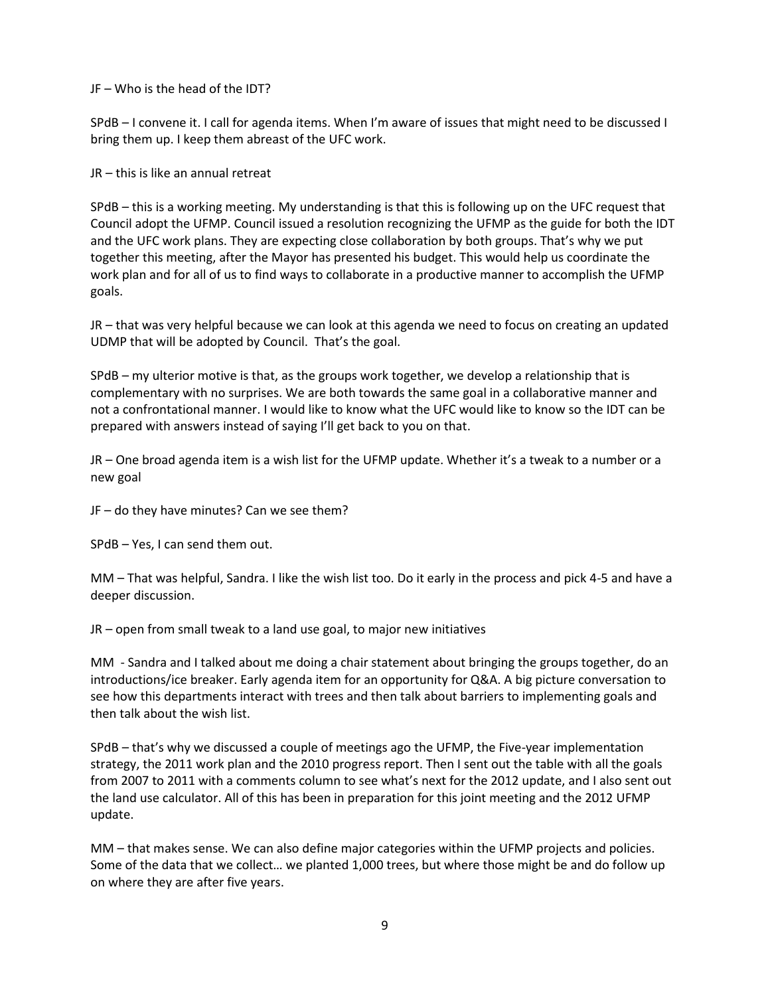JF – Who is the head of the IDT?

SPdB – I convene it. I call for agenda items. When I'm aware of issues that might need to be discussed I bring them up. I keep them abreast of the UFC work.

JR – this is like an annual retreat

SPdB – this is a working meeting. My understanding is that this is following up on the UFC request that Council adopt the UFMP. Council issued a resolution recognizing the UFMP as the guide for both the IDT and the UFC work plans. They are expecting close collaboration by both groups. That's why we put together this meeting, after the Mayor has presented his budget. This would help us coordinate the work plan and for all of us to find ways to collaborate in a productive manner to accomplish the UFMP goals.

JR – that was very helpful because we can look at this agenda we need to focus on creating an updated UDMP that will be adopted by Council. That's the goal.

SPdB – my ulterior motive is that, as the groups work together, we develop a relationship that is complementary with no surprises. We are both towards the same goal in a collaborative manner and not a confrontational manner. I would like to know what the UFC would like to know so the IDT can be prepared with answers instead of saying I'll get back to you on that.

JR – One broad agenda item is a wish list for the UFMP update. Whether it's a tweak to a number or a new goal

JF – do they have minutes? Can we see them?

SPdB – Yes, I can send them out.

MM – That was helpful, Sandra. I like the wish list too. Do it early in the process and pick 4-5 and have a deeper discussion.

JR – open from small tweak to a land use goal, to major new initiatives

MM - Sandra and I talked about me doing a chair statement about bringing the groups together, do an introductions/ice breaker. Early agenda item for an opportunity for Q&A. A big picture conversation to see how this departments interact with trees and then talk about barriers to implementing goals and then talk about the wish list.

SPdB – that's why we discussed a couple of meetings ago the UFMP, the Five-year implementation strategy, the 2011 work plan and the 2010 progress report. Then I sent out the table with all the goals from 2007 to 2011 with a comments column to see what's next for the 2012 update, and I also sent out the land use calculator. All of this has been in preparation for this joint meeting and the 2012 UFMP update.

MM – that makes sense. We can also define major categories within the UFMP projects and policies. Some of the data that we collect… we planted 1,000 trees, but where those might be and do follow up on where they are after five years.